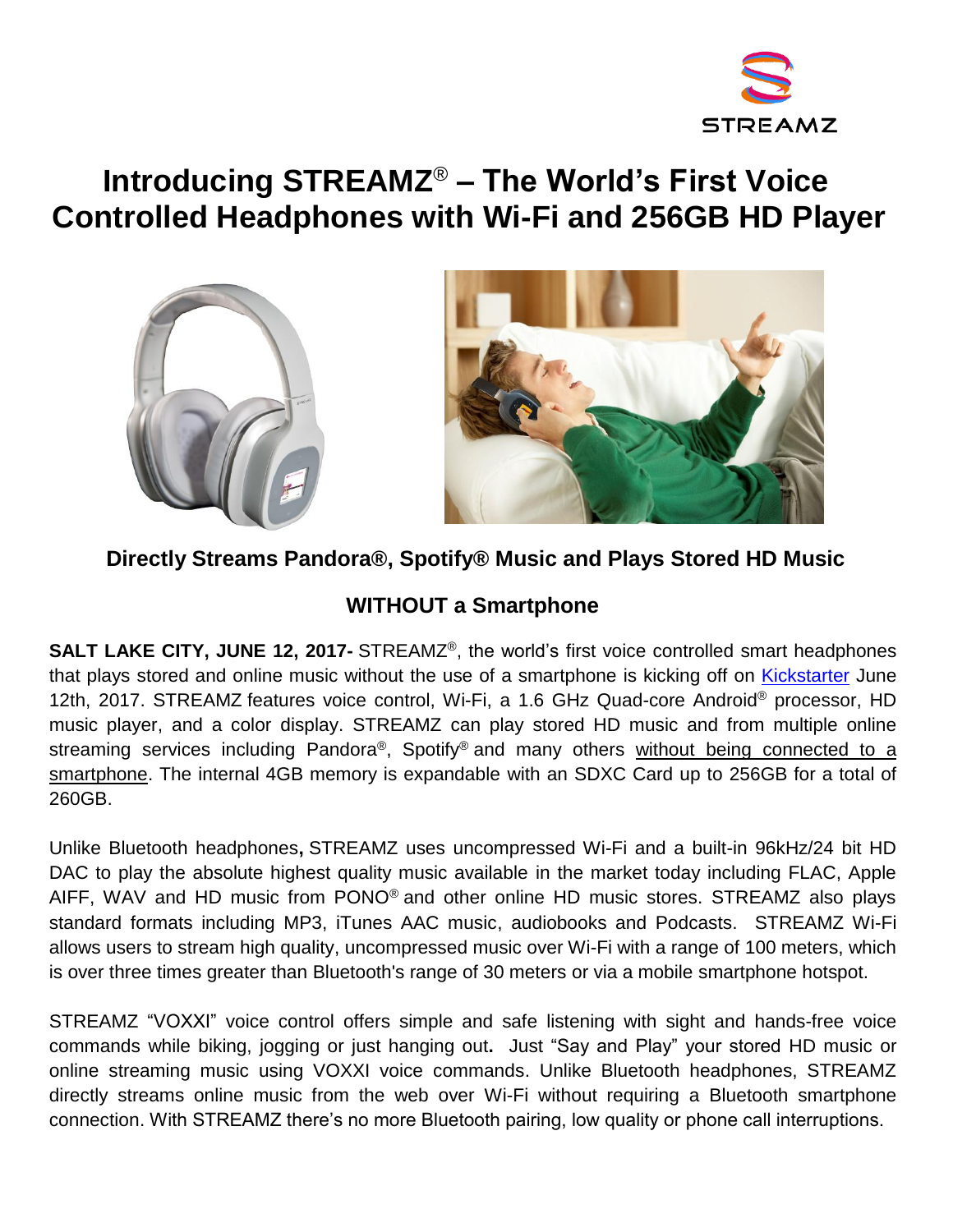

# **Introducing STREAMZ**® **– The World's First Voice Controlled Headphones with Wi-Fi and 256GB HD Player**





### **Directly Streams Pandora®, Spotify® Music and Plays Stored HD Music**

## **WITHOUT a Smartphone**

**SALT LAKE CITY, JUNE 12, 2017-** STREAMZ<sup>®</sup>, the world's first voice controlled smart headphones that plays stored and online music without the use of a smartphone is kicking off on [Kickstarter](https://www.kickstarter.com/projects/272894776/508354964?token=6e979b8e) June 12th, 2017. STREAMZ features voice control, Wi-Fi, a 1.6 GHz Quad-core Android® processor, HD music player, and a color display. STREAMZ can play stored HD music and from multiple online streaming services including Pandora®, Spotify® and many others without being connected to a smartphone. The internal 4GB memory is expandable with an SDXC Card up to 256GB for a total of 260GB.

Unlike Bluetooth headphones**,** STREAMZ uses uncompressed Wi-Fi and a built-in 96kHz/24 bit HD DAC to play the absolute highest quality music available in the market today including FLAC, Apple AIFF, WAV and HD music from PONO<sup>®</sup> and other online HD music stores. STREAMZ also plays standard formats including MP3, iTunes AAC music, audiobooks and Podcasts. STREAMZ Wi-Fi allows users to stream high quality, uncompressed music over Wi-Fi with a range of 100 meters, which is over three times greater than Bluetooth's range of 30 meters or via a mobile smartphone hotspot.

STREAMZ "VOXXI" voice control offers simple and safe listening with sight and hands-free voice commands while biking, jogging or just hanging out**.** Just "Say and Play" your stored HD music or online streaming music using VOXXI voice commands. Unlike Bluetooth headphones, STREAMZ directly streams online music from the web over Wi-Fi without requiring a Bluetooth smartphone connection. With STREAMZ there's no more Bluetooth pairing, low quality or phone call interruptions.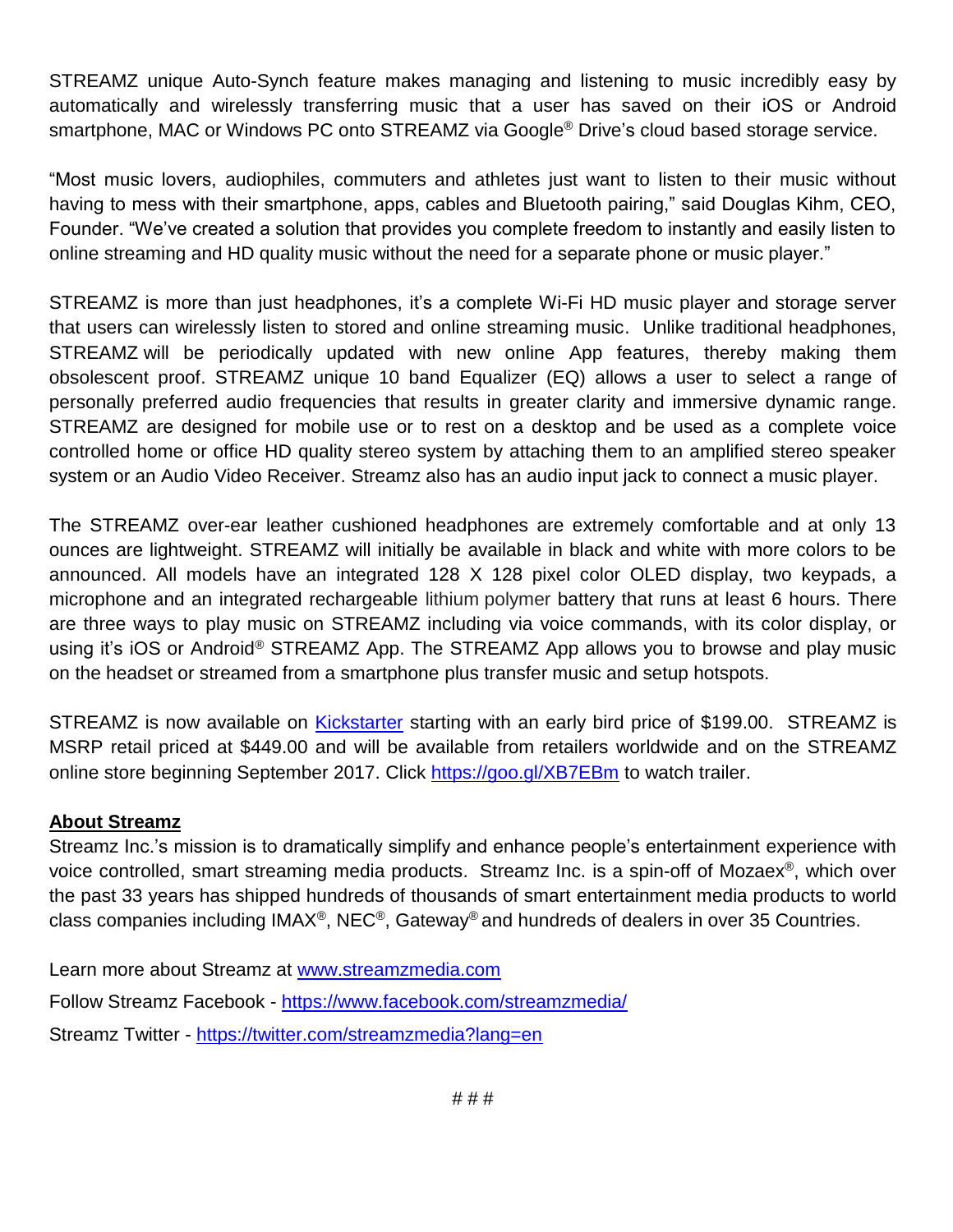STREAMZ unique Auto-Synch feature makes managing and listening to music incredibly easy by automatically and wirelessly transferring music that a user has saved on their iOS or Android smartphone, MAC or Windows PC onto STREAMZ via Google® Drive's cloud based storage service.

"Most music lovers, audiophiles, commuters and athletes just want to listen to their music without having to mess with their smartphone, apps, cables and Bluetooth pairing," said Douglas Kihm, CEO, Founder. "We've created a solution that provides you complete freedom to instantly and easily listen to online streaming and HD quality music without the need for a separate phone or music player."

STREAMZ is more than just headphones, it's a complete Wi-Fi HD music player and storage server that users can wirelessly listen to stored and online streaming music. Unlike traditional headphones, STREAMZ will be periodically updated with new online App features, thereby making them obsolescent proof. STREAMZ unique 10 band Equalizer (EQ) allows a user to select a range of personally preferred audio frequencies that results in greater clarity and immersive dynamic range. STREAMZ are designed for mobile use or to rest on a desktop and be used as a complete voice controlled home or office HD quality stereo system by attaching them to an amplified stereo speaker system or an Audio Video Receiver. Streamz also has an audio input jack to connect a music player.

The STREAMZ over-ear leather cushioned headphones are extremely comfortable and at only 13 ounces are lightweight. STREAMZ will initially be available in black and white with more colors to be announced. All models have an integrated 128 X 128 pixel color OLED display, two keypads, a microphone and an integrated rechargeable lithium polymer battery that runs at least 6 hours. There are three ways to play music on STREAMZ including via voice commands, with its color display, or using it's iOS or Android® STREAMZ App. The STREAMZ App allows you to browse and play music on the headset or streamed from a smartphone plus transfer music and setup hotspots.

STREAMZ is now available on [Kickstarter](https://www.kickstarter.com/projects/272894776/508354964?token=6e979b8e) starting with an early bird price of \$199.00. STREAMZ is MSRP retail priced at \$449.00 and will be available from retailers worldwide and on the STREAMZ online store beginning September 2017. Click <https://goo.gl/XB7EBm> to watch trailer.

#### **About Streamz**

Streamz Inc.'s mission is to dramatically simplify and enhance people's entertainment experience with voice controlled, smart streaming media products. Streamz Inc. is a spin-off of Mozaex®, which over the past 33 years has shipped hundreds of thousands of smart entertainment media products to world class companies including IMAX®, NEC®, Gateway® and hundreds of dealers in over 35 Countries.

Learn more about Streamz at [www.streamzmedia.com](http://www.streamzmedia.com/) Follow Streamz Facebook - <https://www.facebook.com/streamzmedia/> Streamz Twitter - <https://twitter.com/streamzmedia?lang=en>